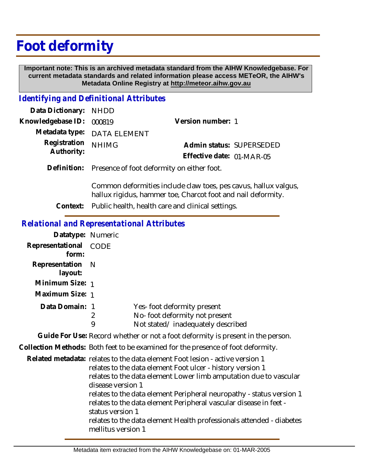# **Foot deformity**

 **Important note: This is an archived metadata standard from the AIHW Knowledgebase. For current metadata standards and related information please access METeOR, the AIHW's Metadata Online Registry at http://meteor.aihw.gov.au**

#### *Identifying and Definitional Attributes*

| Data Dictionary: NHDD      |                             |                           |  |
|----------------------------|-----------------------------|---------------------------|--|
| Knowledgebase ID: 000819   |                             | Version number: 1         |  |
|                            | Metadata type: DATA ELEMENT |                           |  |
| Registration<br>Authority: | <b>NHIMG</b>                | Admin status: SUPERSEDED  |  |
|                            |                             | Effective date: 01-MAR-05 |  |
|                            |                             |                           |  |

Definition: Presence of foot deformity on either foot.

Common deformities include claw toes, pes cavus, hallux valgus, hallux rigidus, hammer toe, Charcot foot and nail deformity.

**Context:** Public health, health care and clinical settings.

#### *Relational and Representational Attributes*

| Datatype: Numeric           |        |                                                                                                  |
|-----------------------------|--------|--------------------------------------------------------------------------------------------------|
| Representational<br>form:   | CODE   |                                                                                                  |
| Representation N<br>layout: |        |                                                                                                  |
| Minimum Size: 1             |        |                                                                                                  |
| Maximum Size: 1             |        |                                                                                                  |
| Data Domain: 1              | 2<br>9 | Yes-foot deformity present<br>No-foot deformity not present<br>Not stated/inadequately described |
|                             |        | Cuide For Lleo, Desard ulsather ar not a faot deferred tu is researt in th                       |

**Guide For Use:** Record whether or not a foot deformity is present in the person.

**Collection Methods:** Both feet to be examined for the presence of foot deformity.

Related metadata: relates to the data element Foot lesion - active version 1 relates to the data element Foot ulcer - history version 1 relates to the data element Lower limb amputation due to vascular disease version 1 relates to the data element Peripheral neuropathy - status version 1 relates to the data element Peripheral vascular disease in feet status version 1 relates to the data element Health professionals attended - diabetes mellitus version 1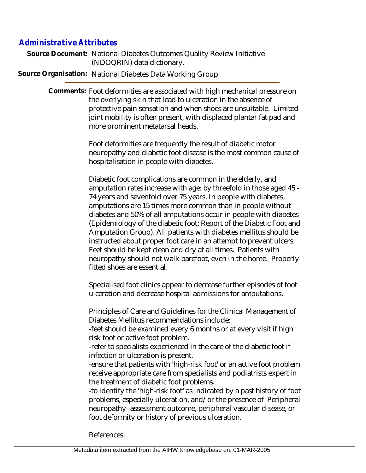## *Administrative Attributes*

Source Document: National Diabetes Outcomes Quality Review Initiative (NDOQRIN) data dictionary.

**Source Organisation:** National Diabetes Data Working Group

Comments: Foot deformities are associated with high mechanical pressure on the overlying skin that lead to ulceration in the absence of protective pain sensation and when shoes are unsuitable. Limited joint mobility is often present, with displaced plantar fat pad and more prominent metatarsal heads.

> Foot deformities are frequently the result of diabetic motor neuropathy and diabetic foot disease is the most common cause of hospitalisation in people with diabetes.

> Diabetic foot complications are common in the elderly, and amputation rates increase with age: by threefold in those aged 45 - 74 years and sevenfold over 75 years. In people with diabetes, amputations are 15 times more common than in people without diabetes and 50% of all amputations occur in people with diabetes (Epidemiology of the diabetic foot; Report of the Diabetic Foot and Amputation Group). All patients with diabetes mellitus should be instructed about proper foot care in an attempt to prevent ulcers. Feet should be kept clean and dry at all times. Patients with neuropathy should not walk barefoot, even in the home. Properly fitted shoes are essential.

Specialised foot clinics appear to decrease further episodes of foot ulceration and decrease hospital admissions for amputations.

Principles of Care and Guidelines for the Clinical Management of Diabetes Mellitus recommendations include:

-feet should be examined every 6 months or at every visit if high risk foot or active foot problem.

-refer to specialists experienced in the care of the diabetic foot if infection or ulceration is present.

-ensure that patients with 'high-risk foot' or an active foot problem receive appropriate care from specialists and podiatrists expert in the treatment of diabetic foot problems.

-to identify the 'high-risk foot' as indicated by a past history of foot problems, especially ulceration, and/or the presence of Peripheral neuropathy- assessment outcome, peripheral vascular disease, or foot deformity or history of previous ulceration.

References: